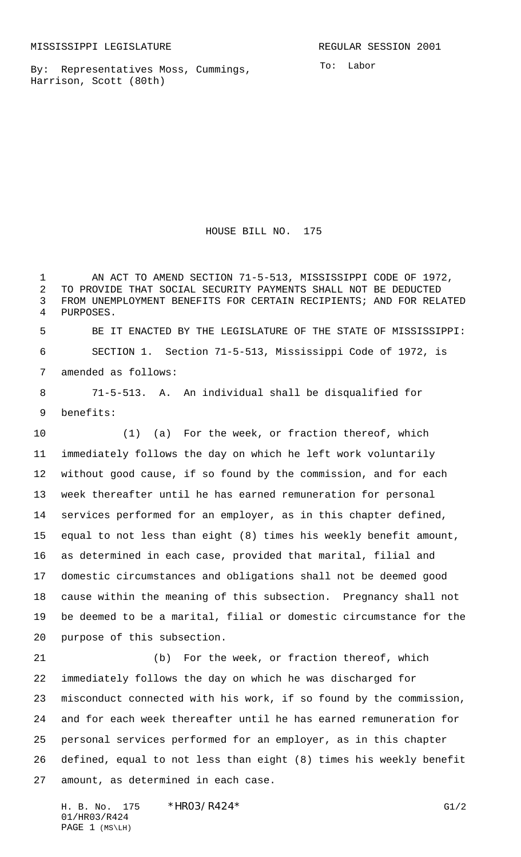By: Representatives Moss, Cummings, Harrison, Scott (80th)

To: Labor

HOUSE BILL NO. 175

 AN ACT TO AMEND SECTION 71-5-513, MISSISSIPPI CODE OF 1972, TO PROVIDE THAT SOCIAL SECURITY PAYMENTS SHALL NOT BE DEDUCTED FROM UNEMPLOYMENT BENEFITS FOR CERTAIN RECIPIENTS; AND FOR RELATED PURPOSES. BE IT ENACTED BY THE LEGISLATURE OF THE STATE OF MISSISSIPPI:

 SECTION 1. Section 71-5-513, Mississippi Code of 1972, is amended as follows:

 71-5-513. A. An individual shall be disqualified for benefits:

 (1) (a) For the week, or fraction thereof, which immediately follows the day on which he left work voluntarily without good cause, if so found by the commission, and for each week thereafter until he has earned remuneration for personal services performed for an employer, as in this chapter defined, equal to not less than eight (8) times his weekly benefit amount, as determined in each case, provided that marital, filial and domestic circumstances and obligations shall not be deemed good cause within the meaning of this subsection. Pregnancy shall not be deemed to be a marital, filial or domestic circumstance for the purpose of this subsection.

 (b) For the week, or fraction thereof, which immediately follows the day on which he was discharged for misconduct connected with his work, if so found by the commission, and for each week thereafter until he has earned remuneration for personal services performed for an employer, as in this chapter defined, equal to not less than eight (8) times his weekly benefit amount, as determined in each case.

H. B. No. 175 \* HRO3/R424\* G1/2 01/HR03/R424 PAGE 1 (MS\LH)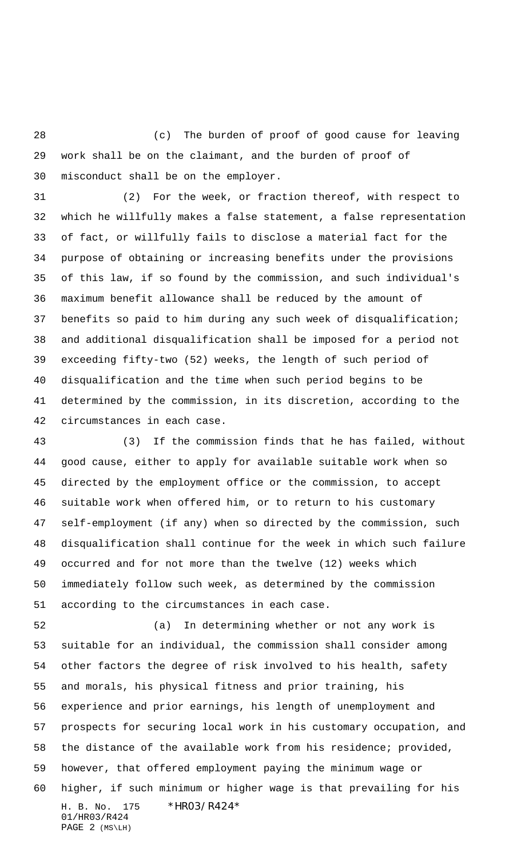(c) The burden of proof of good cause for leaving work shall be on the claimant, and the burden of proof of misconduct shall be on the employer.

 (2) For the week, or fraction thereof, with respect to which he willfully makes a false statement, a false representation of fact, or willfully fails to disclose a material fact for the purpose of obtaining or increasing benefits under the provisions of this law, if so found by the commission, and such individual's maximum benefit allowance shall be reduced by the amount of benefits so paid to him during any such week of disqualification; and additional disqualification shall be imposed for a period not exceeding fifty-two (52) weeks, the length of such period of disqualification and the time when such period begins to be determined by the commission, in its discretion, according to the circumstances in each case.

 (3) If the commission finds that he has failed, without good cause, either to apply for available suitable work when so directed by the employment office or the commission, to accept suitable work when offered him, or to return to his customary self-employment (if any) when so directed by the commission, such disqualification shall continue for the week in which such failure occurred and for not more than the twelve (12) weeks which immediately follow such week, as determined by the commission according to the circumstances in each case.

H. B. No. 175 \* HRO3/R424\* 01/HR03/R424 PAGE 2 (MS\LH) (a) In determining whether or not any work is suitable for an individual, the commission shall consider among other factors the degree of risk involved to his health, safety and morals, his physical fitness and prior training, his experience and prior earnings, his length of unemployment and prospects for securing local work in his customary occupation, and the distance of the available work from his residence; provided, however, that offered employment paying the minimum wage or higher, if such minimum or higher wage is that prevailing for his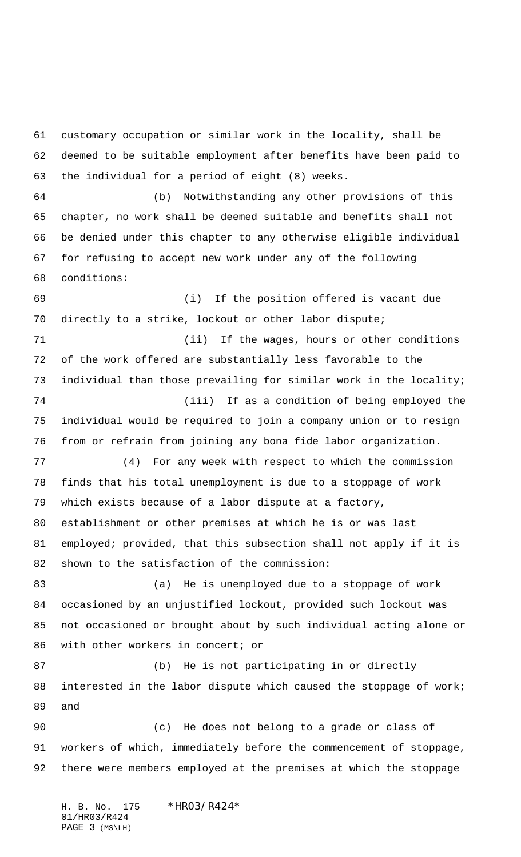customary occupation or similar work in the locality, shall be deemed to be suitable employment after benefits have been paid to the individual for a period of eight (8) weeks. (b) Notwithstanding any other provisions of this chapter, no work shall be deemed suitable and benefits shall not be denied under this chapter to any otherwise eligible individual for refusing to accept new work under any of the following conditions: (i) If the position offered is vacant due directly to a strike, lockout or other labor dispute; (ii) If the wages, hours or other conditions of the work offered are substantially less favorable to the individual than those prevailing for similar work in the locality; (iii) If as a condition of being employed the individual would be required to join a company union or to resign from or refrain from joining any bona fide labor organization. (4) For any week with respect to which the commission finds that his total unemployment is due to a stoppage of work which exists because of a labor dispute at a factory, establishment or other premises at which he is or was last employed; provided, that this subsection shall not apply if it is shown to the satisfaction of the commission: (a) He is unemployed due to a stoppage of work occasioned by an unjustified lockout, provided such lockout was not occasioned or brought about by such individual acting alone or 86 with other workers in concert; or (b) He is not participating in or directly interested in the labor dispute which caused the stoppage of work; and (c) He does not belong to a grade or class of workers of which, immediately before the commencement of stoppage, there were members employed at the premises at which the stoppage

H. B. No. 175 \* HRO3/R424\* 01/HR03/R424 PAGE 3 (MS\LH)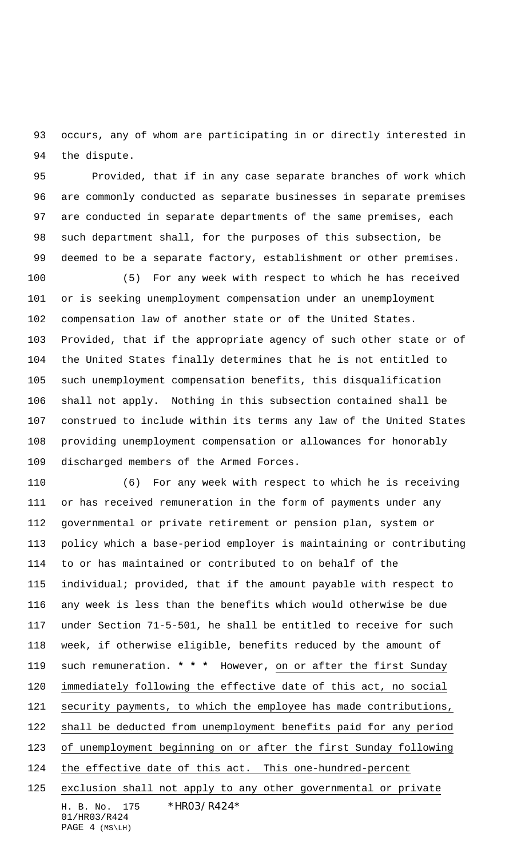occurs, any of whom are participating in or directly interested in the dispute.

 Provided, that if in any case separate branches of work which are commonly conducted as separate businesses in separate premises are conducted in separate departments of the same premises, each such department shall, for the purposes of this subsection, be deemed to be a separate factory, establishment or other premises.

 (5) For any week with respect to which he has received or is seeking unemployment compensation under an unemployment compensation law of another state or of the United States. Provided, that if the appropriate agency of such other state or of the United States finally determines that he is not entitled to such unemployment compensation benefits, this disqualification shall not apply. Nothing in this subsection contained shall be construed to include within its terms any law of the United States providing unemployment compensation or allowances for honorably discharged members of the Armed Forces.

H. B. No. 175 \* HRO3/R424\* 01/HR03/R424 (6) For any week with respect to which he is receiving or has received remuneration in the form of payments under any governmental or private retirement or pension plan, system or policy which a base-period employer is maintaining or contributing to or has maintained or contributed to on behalf of the individual; provided, that if the amount payable with respect to any week is less than the benefits which would otherwise be due under Section 71-5-501, he shall be entitled to receive for such week, if otherwise eligible, benefits reduced by the amount of such remuneration. **\* \* \*** However, on or after the first Sunday immediately following the effective date of this act, no social security payments, to which the employee has made contributions, shall be deducted from unemployment benefits paid for any period of unemployment beginning on or after the first Sunday following the effective date of this act. This one-hundred-percent exclusion shall not apply to any other governmental or private

```
PAGE 4 (MS\LH)
```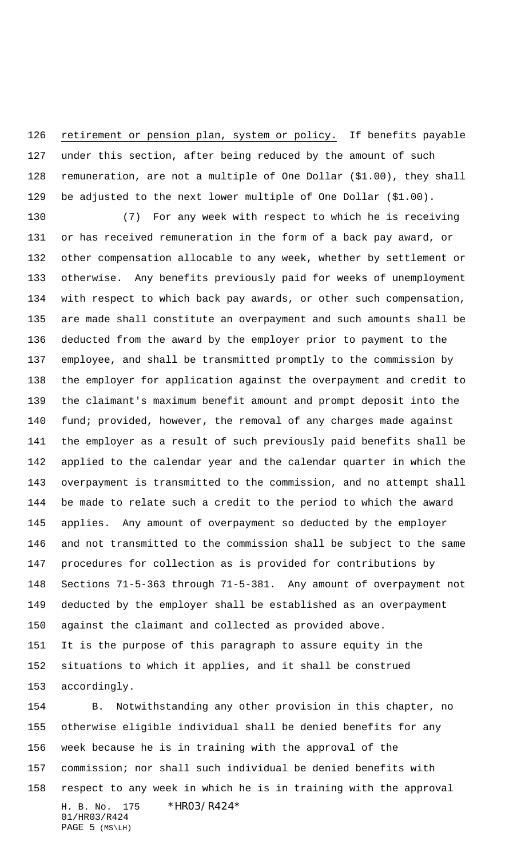retirement or pension plan, system or policy. If benefits payable under this section, after being reduced by the amount of such remuneration, are not a multiple of One Dollar (\$1.00), they shall be adjusted to the next lower multiple of One Dollar (\$1.00).

 (7) For any week with respect to which he is receiving or has received remuneration in the form of a back pay award, or other compensation allocable to any week, whether by settlement or otherwise. Any benefits previously paid for weeks of unemployment with respect to which back pay awards, or other such compensation, are made shall constitute an overpayment and such amounts shall be deducted from the award by the employer prior to payment to the employee, and shall be transmitted promptly to the commission by the employer for application against the overpayment and credit to the claimant's maximum benefit amount and prompt deposit into the fund; provided, however, the removal of any charges made against the employer as a result of such previously paid benefits shall be applied to the calendar year and the calendar quarter in which the overpayment is transmitted to the commission, and no attempt shall be made to relate such a credit to the period to which the award applies. Any amount of overpayment so deducted by the employer and not transmitted to the commission shall be subject to the same procedures for collection as is provided for contributions by Sections 71-5-363 through 71-5-381. Any amount of overpayment not deducted by the employer shall be established as an overpayment against the claimant and collected as provided above. It is the purpose of this paragraph to assure equity in the situations to which it applies, and it shall be construed accordingly.

H. B. No. 175 \*HR03/R424\* 01/HR03/R424 PAGE 5 (MS\LH) B. Notwithstanding any other provision in this chapter, no otherwise eligible individual shall be denied benefits for any week because he is in training with the approval of the commission; nor shall such individual be denied benefits with respect to any week in which he is in training with the approval